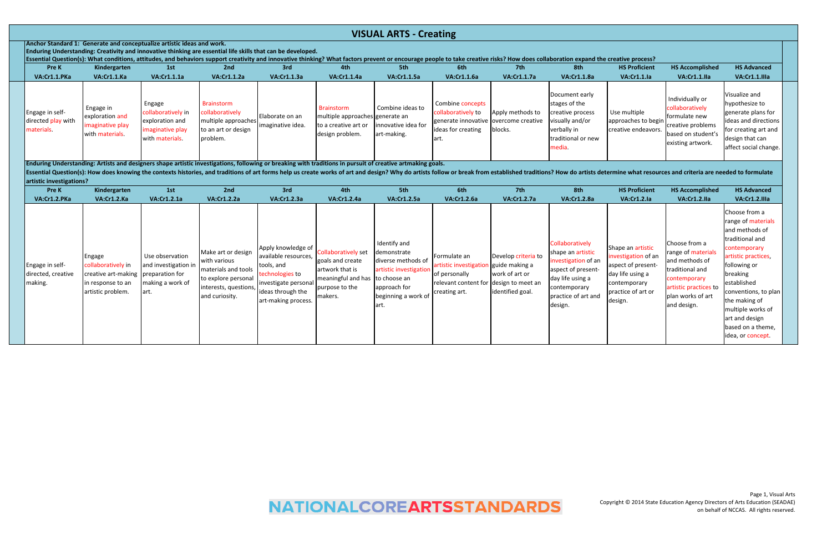Essential Question(s): How does knowing the contexts histories, and traditions of art forms help us create works of art and design? Why do artists follow or break from established traditions? How do artists determine what **artistic investigations?**

|                                                                                        |                                                                     |                                                                                        |                                                                                                                                                                                                                                                                                                                                                      |                                      |                                                                                                 | <b>VISUAL ARTS - Creating</b>                          |                                                                                                                 |                             |                                                                                                                       |                                                            |                                                                                                                     |                                                                                                                                                     |  |
|----------------------------------------------------------------------------------------|---------------------------------------------------------------------|----------------------------------------------------------------------------------------|------------------------------------------------------------------------------------------------------------------------------------------------------------------------------------------------------------------------------------------------------------------------------------------------------------------------------------------------------|--------------------------------------|-------------------------------------------------------------------------------------------------|--------------------------------------------------------|-----------------------------------------------------------------------------------------------------------------|-----------------------------|-----------------------------------------------------------------------------------------------------------------------|------------------------------------------------------------|---------------------------------------------------------------------------------------------------------------------|-----------------------------------------------------------------------------------------------------------------------------------------------------|--|
| Anchor Standard 1: Generate and conceptualize artistic ideas and work.<br><b>Pre K</b> | Kindergarten                                                        | 1st                                                                                    | Enduring Understanding: Creativity and innovative thinking are essential life skills that can be developed.<br>Essential Question(s): What conditions, attitudes, and behaviors support creativity and innovative thinking? What factors prevent or encourage people to take creative risks? How does collaboration expand the creative proce<br>2nd | 3rd                                  | 4th                                                                                             | 5th                                                    | 6th                                                                                                             | 7th                         | 8th                                                                                                                   | <b>HS Proficient</b>                                       | <b>HS Accomplished</b>                                                                                              | <b>HS Advanced</b>                                                                                                                                  |  |
| VA:Cr1.1.PKa                                                                           | VA:Cr1.1.Ka                                                         | <b>VA:Cr1.1.1a</b>                                                                     | <b>VA:Cr1.1.2a</b>                                                                                                                                                                                                                                                                                                                                   | VA:Cr1.1.3a                          | <b>VA:Cr1.1.4a</b>                                                                              | <b>VA:Cr1.1.5a</b>                                     | <b>VA:Cr1.1.6a</b>                                                                                              | <b>VA:Cr1.1.7a</b>          | <b>VA:Cr1.1.8a</b>                                                                                                    | VA:Cr1.1.1a                                                | VA:Cr1.1.IIa                                                                                                        | VA:Cr1.1.Illa                                                                                                                                       |  |
| Engage in self-<br>directed play with<br>materials.                                    | Engage in<br>exploration and<br>imaginative play<br>with materials. | Engage<br>collaboratively in<br>exploration and<br>imaginative play<br>with materials. | Brainstorm<br>collaboratively<br>multiple approaches<br>to an art or design<br>problem.                                                                                                                                                                                                                                                              | Elaborate on an<br>Imaginative idea. | <b>Brainstorm</b><br>multiple approaches generate an<br>to a creative art or<br>design problem. | Combine ideas to<br>innovative idea for<br>art-making. | Combine concepts<br>collaboratively to<br>generate innovative overcome creative<br>lideas for creating<br>lart. | Apply methods to<br>blocks. | Document early<br>stages of the<br>creative process<br>visually and/or<br>verbally in<br>traditional or new<br>media. | Use multiple<br>approaches to begin<br>creative endeavors. | Individually or<br>collaboratively<br>formulate new<br>creative problems<br>based on student's<br>existing artwork. | Visualize and<br>hypothesize to<br>generate plans for<br>ideas and directions  <br>for creating art and<br>design that can<br>affect social change. |  |

| Pre K                                            | Kindergarten                                                                                                         | 1st                                                                 | 2nd                                                                                                                                                                     | 3rd                                                                                                                        | 4th                                                                                                                               | 5th                                                                                                                         | 6th                                                                                                                | 7th                                                                         | 8th                                                                                                                                                     | <b>HS Proficient</b>                                                                                                                | <b>HS Accomplished</b>                                                                                                                                | <b>HS Advanced</b>                                                                                                                                                                                                                                                                   |
|--------------------------------------------------|----------------------------------------------------------------------------------------------------------------------|---------------------------------------------------------------------|-------------------------------------------------------------------------------------------------------------------------------------------------------------------------|----------------------------------------------------------------------------------------------------------------------------|-----------------------------------------------------------------------------------------------------------------------------------|-----------------------------------------------------------------------------------------------------------------------------|--------------------------------------------------------------------------------------------------------------------|-----------------------------------------------------------------------------|---------------------------------------------------------------------------------------------------------------------------------------------------------|-------------------------------------------------------------------------------------------------------------------------------------|-------------------------------------------------------------------------------------------------------------------------------------------------------|--------------------------------------------------------------------------------------------------------------------------------------------------------------------------------------------------------------------------------------------------------------------------------------|
| VA:Cr1.2.PKa                                     | VA:Cr1.2.Ka                                                                                                          | <b>VA:Cr1.2.1a</b>                                                  | <b>VA:Cr1.2.2a</b>                                                                                                                                                      | <b>VA:Cr1.2.3a</b>                                                                                                         | <b>VA:Cr1.2.4a</b>                                                                                                                | <b>VA:Cr1.2.5a</b>                                                                                                          | <b>VA:Cr1.2.6a</b>                                                                                                 | <b>VA:Cr1.2.7a</b>                                                          | <b>VA:Cr1.2.8a</b>                                                                                                                                      | VA:Cr1.2.la                                                                                                                         | VA:Cr1.2.lla                                                                                                                                          | VA:Cr1.2.IIIa                                                                                                                                                                                                                                                                        |
| Engage in self-<br>directed, creative<br>making. | <b>Engage</b><br>collaboratively in<br>creative art-making preparation for<br>in response to an<br>artistic problem. | Use observation<br>and investigation in<br>making a work of<br>art. | Make art or design<br>with various<br>materials and tools<br>to explore personal<br>$\left $ interests, questions, $\left  \right $ ideas through the<br>and curiosity. | Apply knowledge of<br>available resources,<br>tools, and<br>technologies to<br>investigate personal<br>art-making process. | <b>Collaboratively set</b><br>goals and create<br>artwork that is<br>meaningful and has to choose an<br>purpose to the<br>makers. | Identify and<br>demonstrate<br>liverse methods of<br>artistic investigation<br>approach for<br>beginning a work of<br>lart. | Formulate an<br>artistic investigation<br>of personally<br>relevant content for design to meet an<br>creating art. | Develop criteria to<br>guide making a<br>work of art or<br>identified goal. | Collaboratively<br>shape an artistic<br>investigation of an<br>aspect of present-<br>day life using a<br>contemporary<br>practice of art and<br>design. | Shape an artistic<br>investigation of an<br>aspect of present-<br>day life using a<br>contemporary<br>practice of art or<br>design. | Choose from a<br>range of materials<br>and methods of<br>traditional and<br>contemporary<br>artistic practices to<br>plan works of art<br>and design. | Choose from a<br>range of materials<br>and methods of<br>traditional and<br>contemporary<br>artistic practices,<br>following or<br>breaking<br>established<br>conventions, to plan<br>the making of<br>multiple works of<br>art and design<br>based on a theme,<br>idea, or concept. |

**Enduring Understanding: Artists and designers shape artistic investigations, following or breaking with traditions in pursuit of creative artmaking goals.**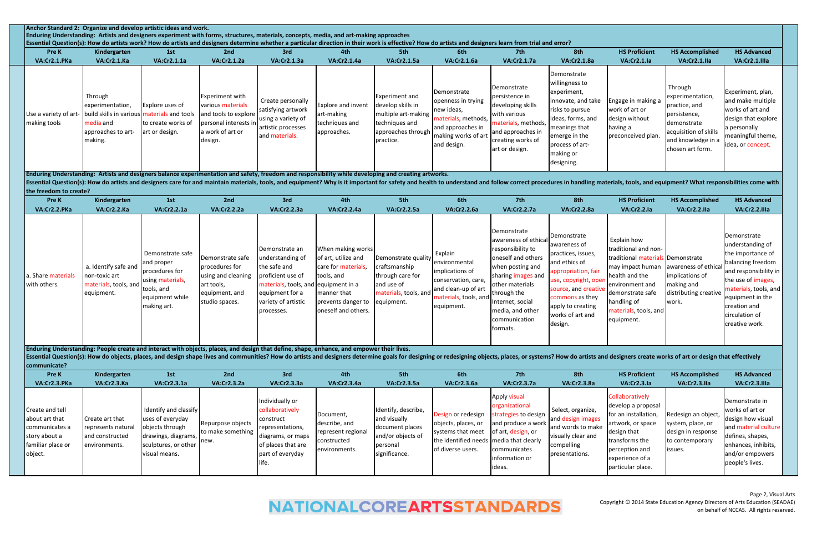|                                                                                                      | Anchor Standard 2: Organize and develop artistic ideas and work.<br>Enduring Understanding: Artists and designers experiment with forms, structures, materials, concepts, media, and art-making approaches<br>Essential Question(s): How do artists work? How do artists and designers determine whether a particular direction in their work is effective? How do artists and designers learn from trial and error? |                                                                                                                              |                                                                                                                             |                                                                                                                                                                         |                                                                                                                                           |                                                                                                                 |                                                                                                                                   |                                                                                                                                                                                                                                 |                                                                                                                                                                                                                  |                                                                                                                                                                                                             |                                                                                                                                                |                                                                                                                                                                                                                           |
|------------------------------------------------------------------------------------------------------|----------------------------------------------------------------------------------------------------------------------------------------------------------------------------------------------------------------------------------------------------------------------------------------------------------------------------------------------------------------------------------------------------------------------|------------------------------------------------------------------------------------------------------------------------------|-----------------------------------------------------------------------------------------------------------------------------|-------------------------------------------------------------------------------------------------------------------------------------------------------------------------|-------------------------------------------------------------------------------------------------------------------------------------------|-----------------------------------------------------------------------------------------------------------------|-----------------------------------------------------------------------------------------------------------------------------------|---------------------------------------------------------------------------------------------------------------------------------------------------------------------------------------------------------------------------------|------------------------------------------------------------------------------------------------------------------------------------------------------------------------------------------------------------------|-------------------------------------------------------------------------------------------------------------------------------------------------------------------------------------------------------------|------------------------------------------------------------------------------------------------------------------------------------------------|---------------------------------------------------------------------------------------------------------------------------------------------------------------------------------------------------------------------------|
| Pre K                                                                                                | Kindergarten                                                                                                                                                                                                                                                                                                                                                                                                         | 1st                                                                                                                          | 2nd                                                                                                                         | 3rd                                                                                                                                                                     | 4th                                                                                                                                       | 5th                                                                                                             | 6th                                                                                                                               | 7th                                                                                                                                                                                                                             | 8th                                                                                                                                                                                                              | <b>HS Proficient</b>                                                                                                                                                                                        | <b>HS Accomplished</b>                                                                                                                         | <b>HS Advanced</b>                                                                                                                                                                                                        |
| VA:Cr2.1.PKa                                                                                         | VA:Cr2.1.Ka                                                                                                                                                                                                                                                                                                                                                                                                          | VA:Cr2.1.1a                                                                                                                  | <b>VA:Cr2.1.2a</b>                                                                                                          | VA:Cr2.1.3a                                                                                                                                                             | VA:Cr2.1.4a                                                                                                                               | <b>VA:Cr2.1.5a</b>                                                                                              | VA:Cr2.1.6a                                                                                                                       | <b>VA:Cr2.1.7a</b>                                                                                                                                                                                                              | <b>VA:Cr2.1.8a</b>                                                                                                                                                                                               | VA:Cr2.1.la                                                                                                                                                                                                 | VA:Cr2.1.lla                                                                                                                                   | VA:Cr2.1.IIIa                                                                                                                                                                                                             |
| Use a variety of art-<br>making tools                                                                | Through<br>experimentation,<br>build skills in various materials and tools<br>media and<br>approaches to art-<br>making.                                                                                                                                                                                                                                                                                             | Explore uses of<br>to create works of<br>art or design.                                                                      | <b>Experiment with</b><br>various materials<br>and tools to explore<br>personal interests in<br>a work of art or<br>design. | Create personally<br>satisfying artwork<br>using a variety of<br>artistic processes<br>and materials.                                                                   | Explore and invent<br>art-making<br>techniques and<br>approaches.                                                                         | Experiment and<br>develop skills in<br>multiple art-making<br>techniques and<br>approaches through<br>practice. | Demonstrate<br>openness in trying<br>new ideas,<br>materials, methods,<br>and approaches in<br>making works of art<br>and design. | Demonstrate<br>persistence in<br>developing skills<br>with various<br>materials, methods,<br>and approaches in<br>creating works of<br>art or design.                                                                           | Demonstrate<br>willingness to<br>experiment,<br>innovate, and take<br>risks to pursue<br>ideas, forms, and<br>meanings that<br>emerge in the<br>process of art-<br>making or<br>designing.                       | Engage in making a<br>work of art or<br>design without<br>having a<br>preconceived plan.                                                                                                                    | Through<br>experimentation,<br>practice, and<br>persistence,<br>demonstrate<br>acquisition of skills<br>and knowledge in a<br>chosen art form. | Experiment, plan,<br>and make multiple<br>works of art and<br>design that explore<br>a personally<br>meaningful theme,<br>idea, or concept.                                                                               |
|                                                                                                      | Enduring Understanding: Artists and designers balance experimentation and safety, freedom and responsibility while developing and creating artworks.                                                                                                                                                                                                                                                                 |                                                                                                                              |                                                                                                                             |                                                                                                                                                                         |                                                                                                                                           |                                                                                                                 |                                                                                                                                   |                                                                                                                                                                                                                                 |                                                                                                                                                                                                                  |                                                                                                                                                                                                             |                                                                                                                                                |                                                                                                                                                                                                                           |
| the freedom to create?                                                                               | Essential Question(s): How do artists and designers care for and maintain materials, tools, and equipment? Why is it important for safety and health to understand and follow correct procedures in handling materials, tools,                                                                                                                                                                                       |                                                                                                                              |                                                                                                                             |                                                                                                                                                                         |                                                                                                                                           |                                                                                                                 |                                                                                                                                   |                                                                                                                                                                                                                                 |                                                                                                                                                                                                                  |                                                                                                                                                                                                             |                                                                                                                                                |                                                                                                                                                                                                                           |
| Pre K                                                                                                | Kindergarten                                                                                                                                                                                                                                                                                                                                                                                                         | 1st                                                                                                                          | 2nd                                                                                                                         | 3rd                                                                                                                                                                     | 4th                                                                                                                                       | 5th                                                                                                             | 6th                                                                                                                               | 7th                                                                                                                                                                                                                             | 8th                                                                                                                                                                                                              | <b>HS Proficient</b>                                                                                                                                                                                        | <b>HS Accomplished</b>                                                                                                                         | <b>HS Advanced</b>                                                                                                                                                                                                        |
| VA:Cr2.2.PKa                                                                                         | VA:Cr2.2.Ka                                                                                                                                                                                                                                                                                                                                                                                                          | VA:Cr2.2.1a                                                                                                                  | VA:Cr2.2.2a                                                                                                                 | <b>VA:Cr2.2.3a</b>                                                                                                                                                      | VA:Cr2.2.4a                                                                                                                               | <b>VA:Cr2.2.5a</b>                                                                                              | <b>VA:Cr2.2.6a</b>                                                                                                                | <b>VA:Cr2.2.7a</b>                                                                                                                                                                                                              | <b>VA:Cr2.2.8a</b>                                                                                                                                                                                               | VA:Cr2.2.la                                                                                                                                                                                                 | VA:Cr2.2.IIa                                                                                                                                   | VA:Cr2.2.IIIa                                                                                                                                                                                                             |
| a. Share materials<br>with others.                                                                   | a. Identify safe and<br>non-toxic art<br>materials, tools, and<br>equipment.<br>Enduring Understanding: People create and interact with objects, places, and design that define, shape, enhance, and empower their lives.                                                                                                                                                                                            | Demonstrate safe<br>and proper<br>procedures for<br>using materials,<br>tools, and<br>equipment while<br>making art.         | Demonstrate safe<br>procedures for<br>using and cleaning<br>art tools,<br>equipment, and<br>studio spaces.                  | Demonstrate an<br>understanding of<br>the safe and<br>proficient use of<br>materials, tools, and equipment in a<br>equipment for a<br>variety of artistic<br>processes. | When making works<br>of art, utilize and<br>care for materials,<br>tools, and<br>manner that<br>prevents danger to<br>oneself and others. | Demonstrate quality<br>craftsmanship<br>through care for<br>and use of<br>materials, tools, and<br>equipment.   | Explain<br>environmental<br>implications of<br>conservation, care,<br>and clean-up of art<br>materials, tools, and<br>equipment.  | Demonstrate<br>awareness of ethical<br>responsibility to<br>oneself and others<br>when posting and<br>sharing images and<br>other materials<br>through the<br>Internet, social<br>media, and other<br>communication<br>formats. | Demonstrate<br>awareness of<br>practices, issues,<br>and ethics of<br>appropriation, fair<br>use, copyright, oper<br>source, and creative<br>commons as they<br>apply to creating<br>works of art and<br>design. | Explain how<br>traditional and non-<br>traditional materials Demonstrate<br>may impact human<br>health and the<br>environment and<br>demonstrate safe<br>handling of<br>materials, tools, and<br>equipment. | awareness of ethica<br>implications of<br>making and<br>distributing creative<br>work.                                                         | Demonstrate<br>understanding of<br>the importance of<br>balancing freedom<br>and responsibility in<br>the use of images,<br>materials, tools, and<br>equipment in the<br>creation and<br>circulation of<br>creative work. |
| communicate?                                                                                         | Essential Question(s): How do objects, places, and design shape lives and communities? How do artists and designers determine goals for designing or redesigning objects, places, or systems? How do artists and designers cre                                                                                                                                                                                       |                                                                                                                              |                                                                                                                             |                                                                                                                                                                         |                                                                                                                                           |                                                                                                                 |                                                                                                                                   |                                                                                                                                                                                                                                 |                                                                                                                                                                                                                  |                                                                                                                                                                                                             |                                                                                                                                                |                                                                                                                                                                                                                           |
| Pre K                                                                                                | Kindergarten                                                                                                                                                                                                                                                                                                                                                                                                         | 1st                                                                                                                          | 2nd                                                                                                                         | 3rd                                                                                                                                                                     | 4th                                                                                                                                       | 5th                                                                                                             | 6th                                                                                                                               | 7th                                                                                                                                                                                                                             | 8th                                                                                                                                                                                                              | <b>HS Proficient</b>                                                                                                                                                                                        | <b>HS Accomplished</b>                                                                                                                         | <b>HS Advanced</b>                                                                                                                                                                                                        |
| VA:Cr2.3.PKa                                                                                         | VA:Cr2.3.Ka                                                                                                                                                                                                                                                                                                                                                                                                          | VA:Cr2.3.1a                                                                                                                  | <b>VA:Cr2.3.2a</b>                                                                                                          | VA:Cr2.3.3a                                                                                                                                                             | VA:Cr2.3.4a                                                                                                                               | VA:Cr2.3.5a                                                                                                     | <b>VA:Cr2.3.6a</b>                                                                                                                | <b>VA:Cr2.3.7a</b>                                                                                                                                                                                                              | <b>VA:Cr2.3.8a</b>                                                                                                                                                                                               | VA:Cr2.3.la                                                                                                                                                                                                 | VA:Cr2.3.IIa                                                                                                                                   | VA:Cr2.3.IIIa                                                                                                                                                                                                             |
| Create and tell<br>about art that<br>communicates a<br>story about a<br>familiar place or<br>object. | Create art that<br>represents natural<br>and constructed<br>environments.                                                                                                                                                                                                                                                                                                                                            | Identify and classify<br>uses of everyday<br>objects through<br>drawings, diagrams,<br>sculptures, or other<br>visual means. | Repurpose objects<br>to make something<br>new.                                                                              | Individually or<br>collaboratively<br>construct<br>representations,<br>diagrams, or maps<br>of places that are<br>part of everyday<br>life.                             | Document,<br>describe, and<br>represent regiona<br>constructed<br>environments.                                                           | Identify, describe,<br>and visually<br>document places<br>and/or objects of<br>personal<br>significance.        | Design or redesign<br>objects, places, or<br>systems that meet<br>the identified needs<br>of diverse users.                       | Apply visual<br>organizational<br>strategies to design<br>and produce a work<br>of art, design, or<br>media that clearly<br>communicates<br>information or<br>ideas.                                                            | Select, organize,<br>and design images<br>and words to make<br>visually clear and<br>compelling<br>presentations.                                                                                                | Collaboratively<br>develop a proposal<br>for an installation,<br>artwork, or space<br>design that<br>transforms the<br>perception and<br>experience of a<br>particular place.                               | Redesign an object<br>system, place, or<br>design in response<br>to contemporary<br>issues.                                                    | Demonstrate in<br>works of art or<br>design how visual<br>and material culture<br>defines, shapes,<br>enhances, inhibits,<br>and/or empowers<br>people's lives.                                                           |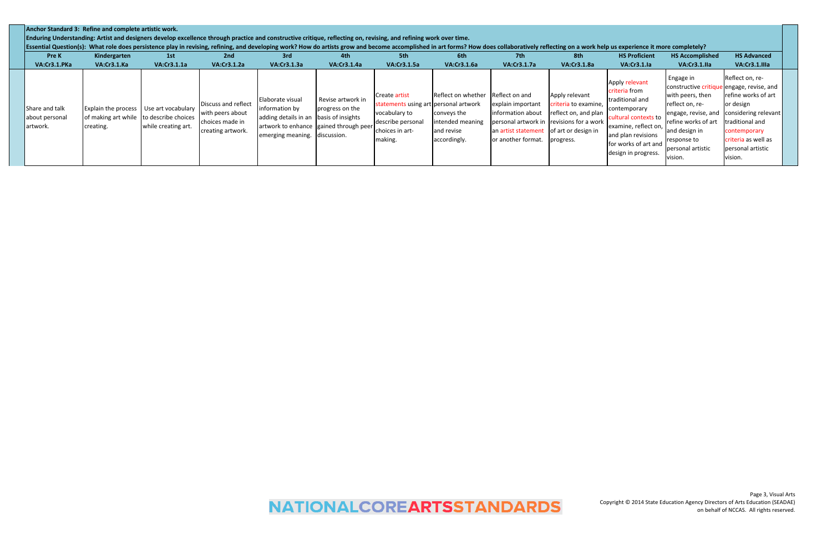|                                              | Anchor Standard 3: Refine and complete artistic work.<br>Enduring Understanding: Artist and designers develop excellence through practice and constructive critique, reflecting on, revising, and refining work over time.<br>Essential Question(s): What role does persistence play in revising, refining, and developing work? How do artists grow and become accomplished in art forms? How does collaboratively reflecting on a work help us experience |                     |                                                                                 |                                                                                                                                                          |                                      |                                                                                                           |                                                               |                                                                                                                                                     |                                                           |                                                                                                                                                      |                                                                                                        |                                                                                                                                                 |  |
|----------------------------------------------|-------------------------------------------------------------------------------------------------------------------------------------------------------------------------------------------------------------------------------------------------------------------------------------------------------------------------------------------------------------------------------------------------------------------------------------------------------------|---------------------|---------------------------------------------------------------------------------|----------------------------------------------------------------------------------------------------------------------------------------------------------|--------------------------------------|-----------------------------------------------------------------------------------------------------------|---------------------------------------------------------------|-----------------------------------------------------------------------------------------------------------------------------------------------------|-----------------------------------------------------------|------------------------------------------------------------------------------------------------------------------------------------------------------|--------------------------------------------------------------------------------------------------------|-------------------------------------------------------------------------------------------------------------------------------------------------|--|
| <b>Pre K</b><br>VA:Cr3.1.PKa                 | Kindergarten<br>VA:Cr3.1.Ka                                                                                                                                                                                                                                                                                                                                                                                                                                 | 1st<br>VA:Cr3.1.1a  | 2nd<br>VA:Cr3.1.2a                                                              | 3rd<br><b>VA:Cr3.1.3a</b>                                                                                                                                | 4th<br>VA:Cr3.1.4a                   | 5th<br><b>VA:Cr3.1.5a</b>                                                                                 | 6th<br>VA:Cr3.1.6a                                            | 7th<br>VA:Cr3.1.7a                                                                                                                                  | 8th<br>VA:Cr3.1.8a                                        | <b>HS Proficient</b><br>VA:Cr3.1.la                                                                                                                  | <b>HS Accomplished</b><br>VA:Cr3.1.IIa                                                                 | <b>HS Advanced</b><br>VA:Cr3.1.IIIa                                                                                                             |  |
|                                              |                                                                                                                                                                                                                                                                                                                                                                                                                                                             |                     |                                                                                 |                                                                                                                                                          |                                      | Create artist                                                                                             | Reflect on whether                                            | Reflect on and                                                                                                                                      | Apply relevant                                            | Apply relevant<br>criteria from                                                                                                                      | Engage in<br>constructive critique engage, revise, and<br>with peers, then                             | Reflect on, re-<br>refine works of art                                                                                                          |  |
| Share and talk<br>about personal<br>artwork. | Explain the process Use art vocabulary<br>of making art while to describe choices<br>creating.                                                                                                                                                                                                                                                                                                                                                              | while creating art. | Discuss and reflect<br>with peers about<br>choices made in<br>creating artwork. | Elaborate visual<br>information by<br>adding details in an basis of insights<br>artwork to enhance gained through peer<br>lemerging meaning. discussion. | Revise artwork in<br>progress on the | statements using art personal artwork<br>vocabulary to<br>describe personal<br>choices in art-<br>making. | conveys the<br>intended meaning<br>and revise<br>accordingly. | explain important<br>information about<br>personal artwork in revisions for a work<br>an artist statement of art or design in<br>or another format. | criteria to examine,<br>reflect on, and plan<br>progress. | traditional and<br>contemporary<br>cultural contexts to<br>examine, reflect on,<br>and plan revisions<br>for works of art and<br>design in progress. | reflect on, re-<br>refine works of art<br>and design in<br>response to<br>personal artistic<br>vision. | or design<br>engage, revise, and considering relevant<br>traditional and<br>contemporary<br>criteria as well as<br>personal artistic<br>vision. |  |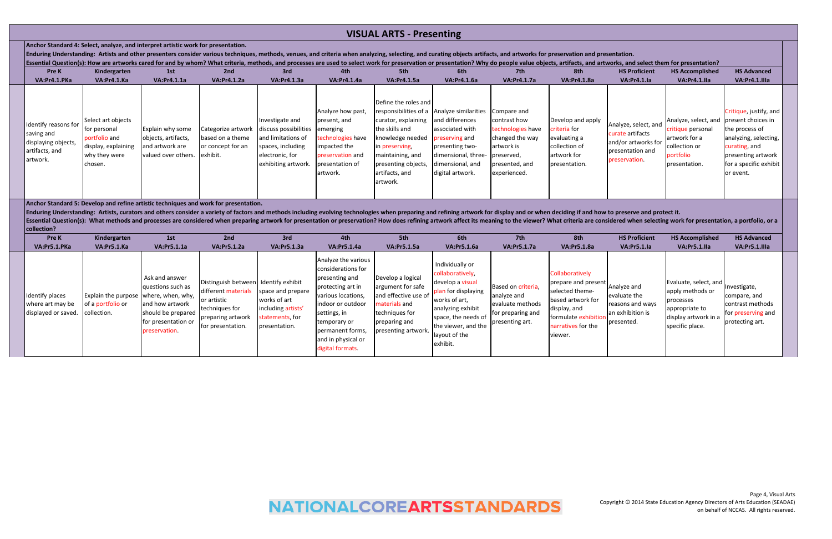| <b>Pre K</b>                                                                            | Kindergarten                                                                                           | 1st                                                                                      | 2nd                                                                     | 3rd                                                                                                                                    | 4th                                                                                                                       | 5th                                                                                                                                                                          | 6th                                                                                                                                                                                                         | 7th                                                                                                  | 8th                                                                                                | <b>HS Proficient</b>                                                                                 | <b>HS Accomplished</b>                                                                                                      | <b>HS Advanced</b>                                                                                                                   |
|-----------------------------------------------------------------------------------------|--------------------------------------------------------------------------------------------------------|------------------------------------------------------------------------------------------|-------------------------------------------------------------------------|----------------------------------------------------------------------------------------------------------------------------------------|---------------------------------------------------------------------------------------------------------------------------|------------------------------------------------------------------------------------------------------------------------------------------------------------------------------|-------------------------------------------------------------------------------------------------------------------------------------------------------------------------------------------------------------|------------------------------------------------------------------------------------------------------|----------------------------------------------------------------------------------------------------|------------------------------------------------------------------------------------------------------|-----------------------------------------------------------------------------------------------------------------------------|--------------------------------------------------------------------------------------------------------------------------------------|
| VA:Pr4.1.PKa                                                                            | VA:Pr4.1.Ka                                                                                            | <b>VA:Pr4.1.1a</b>                                                                       | <b>VA:Pr4.1.2a</b>                                                      | <b>VA:Pr4.1.3a</b>                                                                                                                     | <b>VA:Pr4.1.4a</b>                                                                                                        | <b>VA:Pr4.1.5a</b>                                                                                                                                                           | <b>VA:Pr4.1.6a</b>                                                                                                                                                                                          | <b>VA:Pr4.1.7a</b>                                                                                   | <b>VA:Pr4.1.8a</b>                                                                                 | VA:Pr4.1.la                                                                                          | VA:Pr4.1.lla                                                                                                                | VA:Pr4.1.Illa                                                                                                                        |
| Identify reasons for<br>saving and<br>displaying objects,<br>artifacts, and<br>artwork. | Select art objects<br>for personal<br>portfolio and<br>display, explaining<br>why they were<br>chosen. | <b>Explain why some</b><br>objects, artifacts,<br>and artwork are<br>valued over others. | Categorize artwork<br>based on a theme<br>or concept for an<br>exhibit. | Investigate and<br>discuss possibilities emerging<br>and limitations of<br>spaces, including<br>electronic, for<br>exhibiting artwork. | Analyze how past,<br>present, and<br>technologies have<br>impacted the<br>preservation and<br>presentation of<br>artwork. | Define the roles and<br>curator, explaining<br>the skills and<br>knowledge needed<br>in preserving,<br>maintaining, and<br>presenting objects,<br>artifacts, and<br>artwork. | responsibilities of a Analyze similarities Compare and<br>and differences<br>associated with<br>preserving and<br>presenting two-<br>dimensional, three- preserved,<br>dimensional, and<br>digital artwork. | contrast how<br>technologies have<br>changed the way<br>artwork is<br>presented, and<br>experienced. | Develop and apply<br>criteria for<br>evaluating a<br>collection of<br>artwork for<br>presentation. | Analyze, select, and<br>curate artifacts<br>and/or artworks for<br>presentation and<br>preservation. | Analyze, select, and present choices i<br>critique personal<br>artwork for a<br>collection or<br>portfolio<br>presentation. | Critique, justify, a<br>the process of<br>analyzing, selecti<br>curating, and<br>presenting artwo<br>for a specific exh<br>or event. |

| entation.<br>orks, and select them for presentation?                                                                       |                                                                                                                           |                                                                                                                                                                                        |
|----------------------------------------------------------------------------------------------------------------------------|---------------------------------------------------------------------------------------------------------------------------|----------------------------------------------------------------------------------------------------------------------------------------------------------------------------------------|
| <b>HS Proficient</b>                                                                                                       | <b>HS Accomplished</b>                                                                                                    | <b>HS Advanced</b>                                                                                                                                                                     |
| <b>VA:Pr4.1.Ia</b><br>Analyze, select, and<br>curate artifacts<br>and/or artworks for<br>presentation and<br>preservation. | VA:Pr4.1.IIa<br>Analyze, select, and<br>critique personal<br>artwork for a<br>collection or<br>portfolio<br>presentation. | VA:Pr4.1.Illa<br>Critique, justify, and<br>present choices in<br>the process of<br>analyzing, selecting,<br>curating, and<br>presenting artwork<br>for a specific exhibit<br>or event. |
| to preserve and protect it.<br>idered when selecting work for presentation, a portfolio, or a                              |                                                                                                                           |                                                                                                                                                                                        |
| <b>HS Proficient</b><br><b>VA:Pr5.1.la</b>                                                                                 | <b>HS Accomplished</b><br>VA:Pr5.1.lla                                                                                    | <b>HS Advanced</b><br>VA:Pr5.1.IIIa                                                                                                                                                    |

| <b>Pre K</b>                                               | Kindergarten                                                                | 1st                                                                                                                  | 2nd                                                                                                                                      | 3rd                                                                                         | 4th                                                                                                                                                                                                                       | 5th                                                                                                                                       | 6th                                                                                                                                                                                             | 7th                                                                                           | 8th                                                                                                                                                      | <b>HS Proficient</b>                                                              | <b>HS Accomplished</b>                                                                                              | <b>HS Advanced</b>                                                                      |
|------------------------------------------------------------|-----------------------------------------------------------------------------|----------------------------------------------------------------------------------------------------------------------|------------------------------------------------------------------------------------------------------------------------------------------|---------------------------------------------------------------------------------------------|---------------------------------------------------------------------------------------------------------------------------------------------------------------------------------------------------------------------------|-------------------------------------------------------------------------------------------------------------------------------------------|-------------------------------------------------------------------------------------------------------------------------------------------------------------------------------------------------|-----------------------------------------------------------------------------------------------|----------------------------------------------------------------------------------------------------------------------------------------------------------|-----------------------------------------------------------------------------------|---------------------------------------------------------------------------------------------------------------------|-----------------------------------------------------------------------------------------|
| VA:Pr5.1.PKa                                               | VA:Pr5.1.Ka                                                                 | <b>VA:Pr5.1.1a</b>                                                                                                   | <b>VA:Pr5.1.2a</b>                                                                                                                       | <b>VA:Pr5.1.3a</b>                                                                          | <b>VA:Pr5.1.4a</b>                                                                                                                                                                                                        | <b>VA:Pr5.1.5a</b>                                                                                                                        | <b>VA:Pr5.1.6a</b>                                                                                                                                                                              | <b>VA:Pr5.1.7a</b>                                                                            | <b>VA:Pr5.1.8a</b>                                                                                                                                       | VA:Pr5.1.la                                                                       | VA:Pr5.1.lla                                                                                                        | VA:Pr5.1.IIIa                                                                           |
| Identify places<br>where art may be<br>displayed or saved. | Explain the purpose   where, when, why,<br>of a portfolio or<br>collection. | Ask and answer<br>questions such as<br>and how artwork<br>should be prepared<br>for presentation or<br>preservation. | Distinguish between I Identify exhibit<br>different materials<br>or artistic<br>techniques for<br>preparing artwork<br>for presentation. | space and prepare<br>works of art<br>including artists'<br>statements, for<br>presentation. | Analyze the various<br>considerations for<br>presenting and<br>protecting art in<br>various locations,<br>indoor or outdoor<br>settings, in<br>temporary or<br>permanent forms,<br>and in physical or<br>digital formats. | Develop a logical<br>argument for safe<br>and effective use of<br>materials and<br>techniques for<br>preparing and<br>presenting artwork. | Individually or<br>collaboratively,<br>develop a visual<br>plan for displaying<br>works of art,<br>analyzing exhibit<br>space, the needs of<br>the viewer, and the<br>layout of the<br>exhibit. | Based on criteria,<br>analyze and<br>evaluate methods<br>for preparing and<br>presenting art. | Collaboratively<br>prepare and present<br>selected theme-<br>based artwork for<br>display, and<br>Iformulate exhibition<br>narratives for the<br>viewer. | Analyze and<br>evaluate the<br>reasons and ways<br>an exhibition is<br>presented. | Evaluate, select, and<br>apply methods or<br>processes<br>appropriate to<br>display artwork in a<br>specific place. | Investigate,<br>compare, and<br>contrast method<br>for preserving an<br>protecting art. |

# **VISUAL ARTS - Presenting**

**Anchor Standard 4: Select, analyze, and interpret artistic work for presentation.**

Enduring Understanding: Artists and other presenters consider various techniques, methods, venues, and criteria when analyzing, selecting, and curating objects artifacts, and artworks for preservation and prese Essential Question(s): How are artworks cared for and by whom? What criteria, methods, and processes are used to select work for preservation or presentation? Why do people value objects, artifacts, and artwork

**Anchor Standard 5: Develop and refine artistic techniques and work for presentation.** 

Essential Question(s): What methods and processes are considered when preparing artwork for presentation or preservation? How does refining artwork affect its meaning to the viewer? What criteria are consident at the viewe **collection?** Enduring Understanding: Artists, curators and others consider a variety of factors and methods including evolving technologies when preparing and refining artwork for display and or when deciding if and how to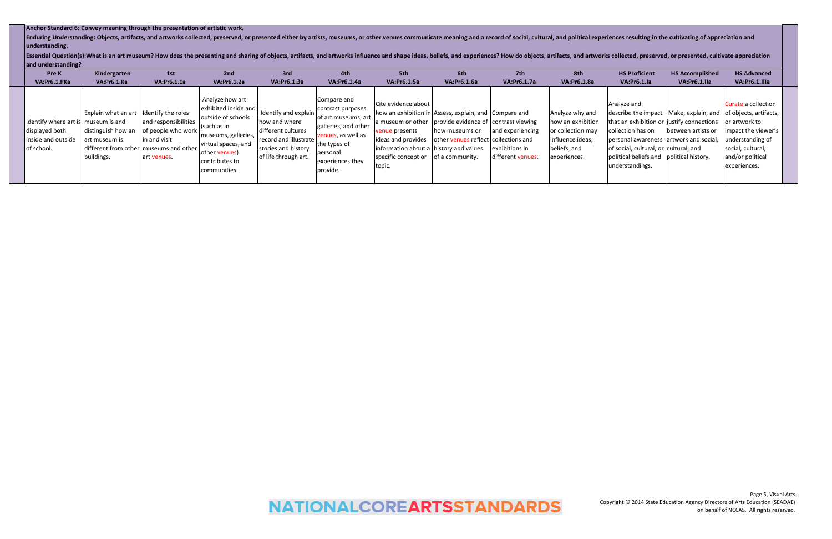| Enduring Understanding: Objects, artifacts, and artworks collected, preserved, or presented either by artists, museums, or other venues communicate meaning and a record of social, cultural, and political experiences result<br>understanding.<br>Essential Question(s):What is an art museum? How does the presenting and sharing of objects, artifacts, and artworks influence and shape ideas, beliefs, and experiences? How do objects, artifacts, and artworks collected, p<br>and understanding?<br><b>Pre K</b><br>VA:Pr6.1.PKa | Kindergarten<br>VA:Pr6.1.Ka                                                                                                                            | Anchor Standard 6: Convey meaning through the presentation of artistic work.<br>1st<br>VA:Pr6.1.1a | 2nd<br><b>VA:Pr6.1.2a</b>                                                                                                                                                     | 3rd<br>VA:Pr6.1.3a                                                                                                                  | 4th<br><b>VA:Pr6.1.4a</b>                                                                                                                                         | 5th<br>VA:Pr6.1.5a                                                                                                                     | 6th<br><b>VA:Pr6.1.6a</b>                                                                                                                                                                  | 7th<br><b>VA:Pr6.1.7a</b>                               | 8th<br><b>VA:Pr6.1.8a</b>                                                                                     | <b>HS Proficient</b><br>VA:Pr6.1.la                                                                                                                                                | <b>HS Accomplished</b><br>VA:Pr6.1.IIa                                                                                               | <b>HS Advanced</b><br>VA:Pr6.1.IIIa                                                                                                      |
|------------------------------------------------------------------------------------------------------------------------------------------------------------------------------------------------------------------------------------------------------------------------------------------------------------------------------------------------------------------------------------------------------------------------------------------------------------------------------------------------------------------------------------------|--------------------------------------------------------------------------------------------------------------------------------------------------------|----------------------------------------------------------------------------------------------------|-------------------------------------------------------------------------------------------------------------------------------------------------------------------------------|-------------------------------------------------------------------------------------------------------------------------------------|-------------------------------------------------------------------------------------------------------------------------------------------------------------------|----------------------------------------------------------------------------------------------------------------------------------------|--------------------------------------------------------------------------------------------------------------------------------------------------------------------------------------------|---------------------------------------------------------|---------------------------------------------------------------------------------------------------------------|------------------------------------------------------------------------------------------------------------------------------------------------------------------------------------|--------------------------------------------------------------------------------------------------------------------------------------|------------------------------------------------------------------------------------------------------------------------------------------|
| Identify where art is<br>displayed both<br>inside and outside<br>of school.                                                                                                                                                                                                                                                                                                                                                                                                                                                              | Explain what an art ldentify the roles<br>museum is and<br>distinguish how an<br>art museum is<br>different from other museums and other<br>buildings. | and responsibilities<br>of people who work<br>in and visit<br>art venues.                          | Analyze how art<br>exhibited inside and<br>outside of schools<br>(such as in<br>museums, galleries,<br>virtual spaces, and<br>other venues)<br>contributes to<br>communities. | Identify and explain<br>how and where<br>different cultures<br>record and illustrate<br>stories and history<br>of life through art. | Compare and<br>contrast purposes<br>of art museums, art<br>galleries, and other<br>venues, as well as<br>the types of<br>personal<br>experiences they<br>provide. | Cite evidence about<br>enue presents<br>ideas and provides<br>information about a lhistory and values<br>specific concept or<br>topic. | how an exhibition in Assess, explain, and Compare and<br>museum or other provide evidence of contrast viewing<br>how museums or<br>other venues reflect collections and<br>of a community. | and experiencing<br>exhibitions in<br>different venues. | Analyze why and<br>how an exhibition<br>or collection may<br>influence ideas,<br>beliefs, and<br>experiences. | Analyze and<br>collection has on<br>personal awareness artwork and social,<br>of social, cultural, or cultural, and<br>political beliefs and political history.<br>understandings. | describe the impact   Make, explain, and   of objects, artifacts,<br>that an exhibition or justify connections<br>between artists or | Curate a collection<br>or artwork to<br>impact the viewer's<br>understanding of<br>social, cultural,<br>and/or political<br>experiences. |

# **NATIONALCOREARTSSTANDARDS**

## **Anchor Standard 6: Convey meaning through the presentation of artistic work.**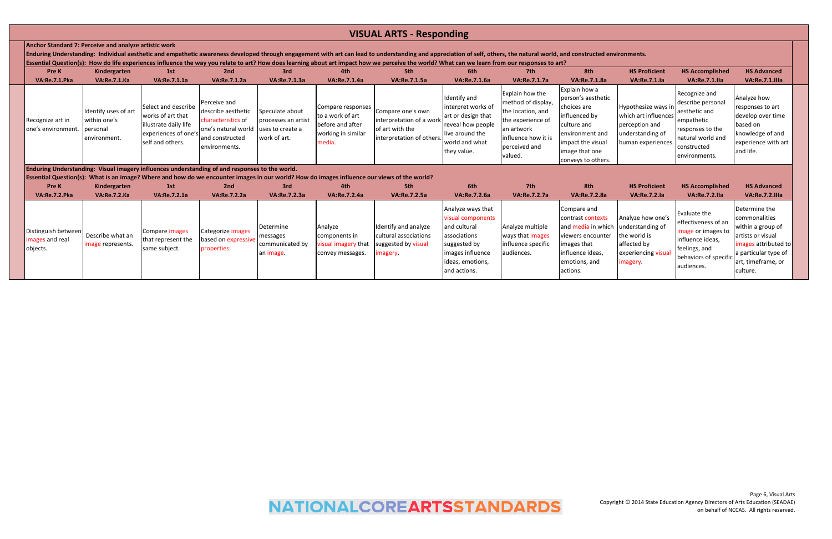| <b>Pre K</b>                                     | Kindergarten                                         | 1st                                                                                                            | 2nd                                                                                                                                   | 3rd                                                    | 4th                                                                                       | 5th                                                                                                                                         | 6th                                                                                                                               | 7th                                                                                                                                               | 8th                                                                                                                                                                | <b>HS Proficient</b>                                                                                    | <b>HS Accomplished</b>                                                                                                                     | <b>HS Advanced</b>                                                                                                     |
|--------------------------------------------------|------------------------------------------------------|----------------------------------------------------------------------------------------------------------------|---------------------------------------------------------------------------------------------------------------------------------------|--------------------------------------------------------|-------------------------------------------------------------------------------------------|---------------------------------------------------------------------------------------------------------------------------------------------|-----------------------------------------------------------------------------------------------------------------------------------|---------------------------------------------------------------------------------------------------------------------------------------------------|--------------------------------------------------------------------------------------------------------------------------------------------------------------------|---------------------------------------------------------------------------------------------------------|--------------------------------------------------------------------------------------------------------------------------------------------|------------------------------------------------------------------------------------------------------------------------|
| VA:Re.7.1.Pka                                    | <b>VA:Re.7.1.Ka</b>                                  | VA:Re.7.1.1a                                                                                                   | VA:Re.7.1.2a                                                                                                                          | VA:Re.7.1.3a                                           | VA:Re.7.1.4a                                                                              | VA:Re.7.1.5a                                                                                                                                | VA:Re.7.1.6a                                                                                                                      | VA:Re.7.1.7a                                                                                                                                      | VA:Re.7.1.8a                                                                                                                                                       | <b>VA:Re.7.1.Ia</b>                                                                                     | VA:Re.7.1.IIa                                                                                                                              | VA:Re.7.1.IIIa                                                                                                         |
| Recognize art in<br>lone's environment. personal | Identify uses of art<br>within one's<br>environment. | Select and describe<br>works of art that<br>lillustrate daily life<br>experiences of one's<br>self and others. | Perceive and<br>describe aesthetic<br>characteristics of<br>one's natural world luses to create a<br>and constructed<br>environments. | Speculate about<br>processes an artist<br>work of art. | Compare responses<br>to a work of art<br>before and after<br>working in similar<br>media. | Compare one's own<br>interpretation of a work<br>of art with the<br>interpretation of others.                                               | Identify and<br>interpret works of<br>art or design that<br>reveal how people<br>live around the<br>world and what<br>they value. | Explain how the<br>method of display,<br>the location, and<br>the experience of<br>an artwork<br>linfluence how it is<br>perceived and<br>valued. | Explain how a<br>person's aesthetic<br>choices are<br>influenced by<br>culture and<br>environment and<br>impact the visual<br>image that one<br>conveys to others. | Hypothesize ways in<br>which art influences<br>perception and<br>understanding of<br>human experiences. | Recognize and<br>describe personal<br>aesthetic and<br>empathetic<br>responses to the<br>natural world and<br>constructed<br>environments. | Analyze how<br>responses to art<br>develop over time<br>based on<br>knowledge of and<br>experience with a<br>and life. |
|                                                  |                                                      | <b>Enduring Understanding: Visual imagery influences understanding of and responses to the world.</b>          |                                                                                                                                       |                                                        |                                                                                           | Essential Question(s): What is an image? Where and how do we encounter images in our world? How do images influence our views of the world? |                                                                                                                                   |                                                                                                                                                   |                                                                                                                                                                    |                                                                                                         |                                                                                                                                            |                                                                                                                        |

**Enduring Understanding: Individual aesthetic and empathetic awareness developed through engagement with art can lead to understanding and appreciation of self, others, the natural world, and constructed environment of sel Essential Question(s): How do life experiences influence the way you relate to art? How does learning about art impact how we perceive the world? What can we learn from our responses to art?**

**Pre K Kindergarten 1st 2nd 3rd 4th 5th 6th 7th 8th HS Proficient HS Accomplished HS Advanced** VA:Re.7.2.Pka VA:Re.7.2.Ka VA:Re.7.2.1a VA:Re.7.2.2a VA:Re.7.2.3a VA:Re.7.2.3a VA:Re.7.2.4a VA:Re.7.2.5a VA:Re.7.2.6a VA:Re.7.2.7a VA:Re.7.2.8a VA:Re.7.2.la VA:Re.7.2.Ila VA:Re.7.2.Illa Distinguish between images and real objects. Describe what an mage represents. Compare images that represent the same subject. Categorize images based on expressive properties. Determine messages communicated by an image. Analyze components in visual imagery that convey messages. Identify and analyze cultural associations suggested by visual imagery. Analyze ways that visual components and cultural associations suggested by images influence ideas, emotions, and actions. Analyze multiple ways that images influence specific audiences. Compare and contrast contexts and media in which viewers encounter images that influence ideas, emotions, and actions.

|   | nvironments.                                                                                            |                                                                                                                                            |                                                                                                                                                            |  |
|---|---------------------------------------------------------------------------------------------------------|--------------------------------------------------------------------------------------------------------------------------------------------|------------------------------------------------------------------------------------------------------------------------------------------------------------|--|
|   | <b>HS Proficient</b><br><b>VA:Re.7.1.Ia</b>                                                             | <b>HS Accomplished</b><br>VA:Re.7.1.IIa                                                                                                    | <b>HS Advanced</b><br><b>VA:Re.7.1.IIIa</b>                                                                                                                |  |
|   | Hypothesize ways in<br>which art influences<br>perception and<br>understanding of<br>human experiences. | Recognize and<br>describe personal<br>aesthetic and<br>empathetic<br>responses to the<br>natural world and<br>constructed<br>environments. | Analyze how<br>responses to art<br>develop over time<br>based on<br>knowledge of and<br>experience with art<br>and life.                                   |  |
|   | <b>HS Proficient</b><br><b>VA:Re.7.2.Ia</b>                                                             | <b>HS Accomplished</b><br><b>VA:Re.7.2.IIa</b>                                                                                             | <b>HS Advanced</b><br><b>VA:Re.7.2.IIIa</b>                                                                                                                |  |
| h | Analyze how one's<br>understanding of<br>the world is<br>affected by<br>experiencing visual<br>imagery. | Evaluate the<br>effectiveness of an<br>image or images to<br>influence ideas.<br>feelings, and<br>behaviors of specific<br>audiences.      | Determine the<br>commonalities<br>within a group of<br>artists or visual<br>images attributed to<br>a particular type of<br>art, timeframe, or<br>culture. |  |

## **Anchor Standard 7: Perceive and analyze artistic work**

# **VISUAL ARTS - Responding**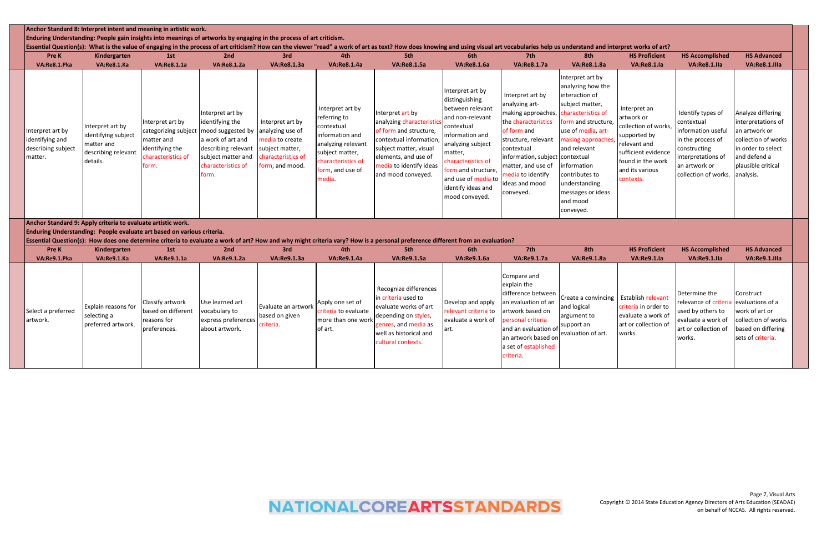| Pre K<br>VA:Re8.1.Pka                                                | Kindergarten<br>VA:Re8.1.Ka                                                             | 1st<br>VA:Re8.1.1a                                                                                       | 2nd<br><b>VA:Re8.1.2a</b>                                                                                                                                | 3rd<br>VA:Re8.1.3a                                                                                                  | 4th<br><b>VA:Re8.1.4a</b>                                                                                                                                    | Essential Question(s): What is the value of engaging in the process of art criticism? How can the viewer "read" a work of art as text? How does knowing and using visual art vocabularies help us understand and interpret wor<br>5th<br><b>VA:Re8.1.5a</b> | 6th<br>VA:Re8.1.6a                                                                                                                                                                                                                                   | 7th<br>VA:Re8.1.7a                                                                                                                                                                                                                  | 8th<br><b>VA:Re8.1.8a</b>                                                                                                                                                                                                                                                                       | <b>HS Proficient</b><br><b>VA:Re8.1.Ia</b>                                                                                                                     | <b>HS Accomplished</b><br>VA:Re8.1.lla                                                                                                                   | <b>HS Advanced</b><br>VA:Re8.1.IIIa                                                                                                                      |
|----------------------------------------------------------------------|-----------------------------------------------------------------------------------------|----------------------------------------------------------------------------------------------------------|----------------------------------------------------------------------------------------------------------------------------------------------------------|---------------------------------------------------------------------------------------------------------------------|--------------------------------------------------------------------------------------------------------------------------------------------------------------|-------------------------------------------------------------------------------------------------------------------------------------------------------------------------------------------------------------------------------------------------------------|------------------------------------------------------------------------------------------------------------------------------------------------------------------------------------------------------------------------------------------------------|-------------------------------------------------------------------------------------------------------------------------------------------------------------------------------------------------------------------------------------|-------------------------------------------------------------------------------------------------------------------------------------------------------------------------------------------------------------------------------------------------------------------------------------------------|----------------------------------------------------------------------------------------------------------------------------------------------------------------|----------------------------------------------------------------------------------------------------------------------------------------------------------|----------------------------------------------------------------------------------------------------------------------------------------------------------|
| Interpret art by<br>identifying and<br>describing subject<br>matter. | nterpret art by<br>identifying subject<br>matter and<br>describing relevant<br>details. | Interpret art by<br>categorizing subject<br>matter and<br>identifying the<br>characteristics of<br>form. | Interpret art by<br>identifying the<br>mood suggested by<br>a work of art and<br>describing relevant<br>subject matter and<br>characteristics of<br>orm. | Interpret art by<br>analyzing use of<br>media to create<br>subject matter,<br>characteristics of<br>form, and mood. | Interpret art by<br>referring to<br>contextual<br>information and<br>analyzing relevant<br>subject matter,<br>haracteristics of<br>orm, and use of<br>nedia. | Interpret art by<br>analyzing characteristics<br>of form and structure,<br>contextual information<br>subject matter, visual<br>elements, and use of<br>media to identify ideas<br>and mood conveyed.                                                        | nterpret art by<br>distinguishing<br>between relevant<br>and non-relevant<br>contextual<br>nformation and<br>analyzing subject<br>natter,<br>characteristics of<br>orm and structure,<br>and use of media to<br>identify ideas and<br>mood conveyed. | Interpret art by<br>analyzing art-<br>making approaches,<br>the characteristics<br>of form and<br>structure, relevant<br>contextual<br>information, subject<br>natter, and use of<br>edia to identify<br>deas and mood<br>conveyed. | Interpret art by<br>analyzing how the<br>interaction of<br>subject matter,<br>characteristics of<br>form and structure,<br>use of media, art-<br>making approaches<br>and relevant<br>contextual<br>nformation<br>contributes to<br>understanding<br>messages or ideas<br>and mood<br>conveyed. | Interpret an<br>artwork or<br>collection of works,<br>supported by<br>relevant and<br>sufficient evidence<br>found in the work<br>and its various<br>contexts. | Identify types of<br>contextual<br>information useful<br>in the process of<br>constructing<br>nterpretations of<br>an artwork or<br>collection of works. | Analyze differing<br>interpretations of<br>an artwork or<br>collection of works<br>in order to select<br>and defend a<br>plausible critical<br>analysis. |
|                                                                      | Anchor Standard 9: Apply criteria to evaluate artistic work.                            | Enduring Understanding: People evaluate art based on various criteria.                                   |                                                                                                                                                          |                                                                                                                     |                                                                                                                                                              | Essential Question(s): How does one determine criteria to evaluate a work of art? How and why might criteria vary? How is a personal preference different from an evaluation?                                                                               |                                                                                                                                                                                                                                                      |                                                                                                                                                                                                                                     |                                                                                                                                                                                                                                                                                                 |                                                                                                                                                                |                                                                                                                                                          |                                                                                                                                                          |
| Pre K<br>VA:Re9.1.Pka                                                | Kindergarten<br>VA:Re9.1.Ka                                                             | 1st<br>VA:Re9.1.1a                                                                                       | 2nd<br><b>VA:Re9.1.2a</b>                                                                                                                                | 3rd<br>VA:Re9.1.3a                                                                                                  | 4th<br><b>VA:Re9.1.4a</b>                                                                                                                                    | 5th<br>VA:Re9.1.5a                                                                                                                                                                                                                                          | 6th<br>VA:Re9.1.6a                                                                                                                                                                                                                                   | 7th<br><b>VA:Re9.1.7a</b>                                                                                                                                                                                                           | 8th<br><b>VA:Re9.1.8a</b>                                                                                                                                                                                                                                                                       | <b>HS Proficient</b><br>VA:Re9.1.la                                                                                                                            | <b>HS Accomplished</b><br>VA:Re9.1.lla                                                                                                                   | <b>HS Advanced</b><br>VA:Re9.1.IIIa                                                                                                                      |
| Select a preferred<br>artwork.                                       | xplain reasons for<br>electing a<br>preferred artwork.                                  | Classify artwork<br>based on different<br>reasons for<br>preferences.                                    | Use learned art<br>vocabulary to<br>express preferences<br>about artwork.                                                                                | Evaluate an artwork<br>based on given<br>criteria.                                                                  | Apply one set of<br>criteria to evaluate<br>more than one wor<br>of art.                                                                                     | Recognize differences<br>in criteria used to<br>evaluate works of art<br>depending on styles,<br>genres, and media as<br>well as historical and<br>cultural contexts.                                                                                       | Develop and apply<br>relevant criteria to<br>evaluate a work of<br>art.                                                                                                                                                                              | Compare and<br>explain the<br>difference between<br>an evaluation of an<br>artwork based on<br>bersonal criteria<br>and an evaluation of<br>an artwork based on<br>a set of established                                             | Create a convincing<br>and logical<br>argument to<br>support an<br>evaluation of art.                                                                                                                                                                                                           | <b>Establish relevant</b><br>criteria in order to<br>evaluate a work of<br>art or collection of<br>works.                                                      | Determine the<br>relevance of criteria<br>used by others to<br>evaluate a work of<br>art or collection of<br>works.                                      | Construct<br>evaluations of a<br>work of art or<br>collection of works<br>based on differing<br>sets of criteria.                                        |